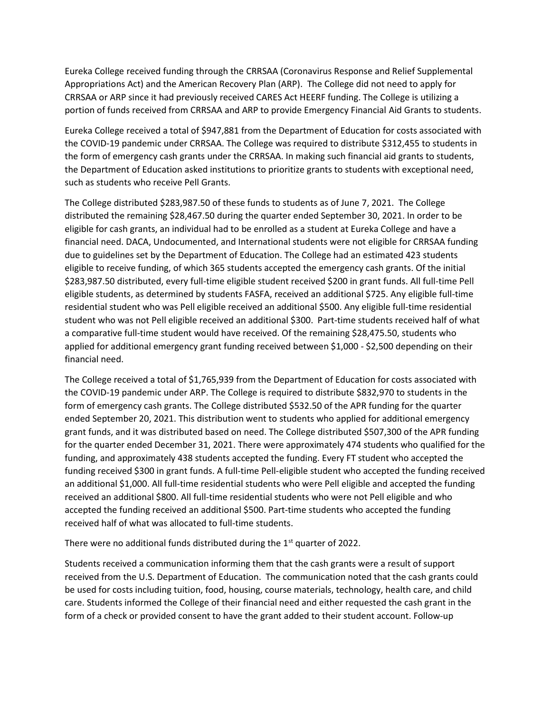Eureka College received funding through the CRRSAA (Coronavirus Response and Relief Supplemental Appropriations Act) and the American Recovery Plan (ARP). The College did not need to apply for CRRSAA or ARP since it had previously received CARES Act HEERF funding. The College is utilizing a portion of funds received from CRRSAA and ARP to provide Emergency Financial Aid Grants to students.

Eureka College received a total of \$947,881 from the Department of Education for costs associated with the COVID-19 pandemic under CRRSAA. The College was required to distribute \$312,455 to students in the form of emergency cash grants under the CRRSAA. In making such financial aid grants to students, the Department of Education asked institutions to prioritize grants to students with exceptional need, such as students who receive Pell Grants.

The College distributed \$283,987.50 of these funds to students as of June 7, 2021. The College distributed the remaining \$28,467.50 during the quarter ended September 30, 2021. In order to be eligible for cash grants, an individual had to be enrolled as a student at Eureka College and have a financial need. DACA, Undocumented, and International students were not eligible for CRRSAA funding due to guidelines set by the Department of Education. The College had an estimated 423 students eligible to receive funding, of which 365 students accepted the emergency cash grants. Of the initial \$283,987.50 distributed, every full-time eligible student received \$200 in grant funds. All full-time Pell eligible students, as determined by students FASFA, received an additional \$725. Any eligible full-time residential student who was Pell eligible received an additional \$500. Any eligible full-time residential student who was not Pell eligible received an additional \$300. Part-time students received half of what a comparative full-time student would have received. Of the remaining \$28,475.50, students who applied for additional emergency grant funding received between \$1,000 - \$2,500 depending on their financial need.

The College received a total of \$1,765,939 from the Department of Education for costs associated with the COVID-19 pandemic under ARP. The College is required to distribute \$832,970 to students in the form of emergency cash grants. The College distributed \$532.50 of the APR funding for the quarter ended September 20, 2021. This distribution went to students who applied for additional emergency grant funds, and it was distributed based on need. The College distributed \$507,300 of the APR funding for the quarter ended December 31, 2021. There were approximately 474 students who qualified for the funding, and approximately 438 students accepted the funding. Every FT student who accepted the funding received \$300 in grant funds. A full-time Pell-eligible student who accepted the funding received an additional \$1,000. All full-time residential students who were Pell eligible and accepted the funding received an additional \$800. All full-time residential students who were not Pell eligible and who accepted the funding received an additional \$500. Part-time students who accepted the funding received half of what was allocated to full-time students.

There were no additional funds distributed during the  $1<sup>st</sup>$  quarter of 2022.

Students received a communication informing them that the cash grants were a result of support received from the U.S. Department of Education. The communication noted that the cash grants could be used for costs including tuition, food, housing, course materials, technology, health care, and child care. Students informed the College of their financial need and either requested the cash grant in the form of a check or provided consent to have the grant added to their student account. Follow-up